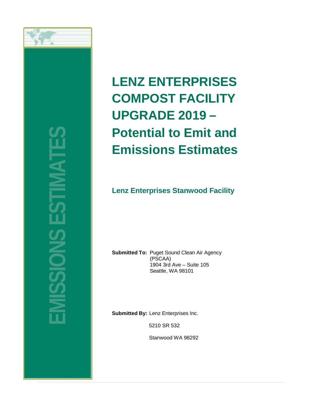

**EMISSIONS ESTIMATES**

# **LENZ ENTERPRISES COMPOST FACILITY UPGRADE 2019 – Potential to Emit and Emissions Estimates**

# **Lenz Enterprises Stanwood Facility**

**Submitted To:** Puget Sound Clean Air Agency (PSCAA) 1904 3rd Ave – Suite 105 Seattle, WA 98101

**Submitted By:** Lenz Enterprises Inc.

5210 SR 532

Stanwood WA 98292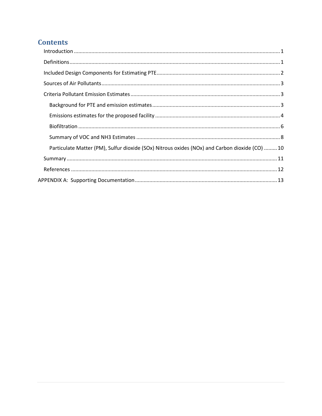# **Contents**

| $\label{eq:1} \mbox{Introduction} \,\, \ldots \,\, \ldots \,\, \ldots \,\, \ldots \,\, \ldots \,\, \ldots \,\, \ldots \,\, \ldots \,\, \ldots \,\, \ldots \,\, \ldots \,\, \ldots \,\, \ldots \,\, \ldots \,\, \ldots \,\, \ldots \,\, \ldots \,\, \ldots \,\, \ldots \,\, \ldots \,\, \ldots \,\, \ldots \,\, \ldots \,\, \ldots \,\, \ldots \,\, \ldots \,\, \ldots \,\, \ldots \,\, \ldots \,\, \ldots \,\, \ldots \,\, \ldots \,\, \ldots \,\, \ldots \,\,$ |
|-----------------------------------------------------------------------------------------------------------------------------------------------------------------------------------------------------------------------------------------------------------------------------------------------------------------------------------------------------------------------------------------------------------------------------------------------------------------|
|                                                                                                                                                                                                                                                                                                                                                                                                                                                                 |
|                                                                                                                                                                                                                                                                                                                                                                                                                                                                 |
|                                                                                                                                                                                                                                                                                                                                                                                                                                                                 |
|                                                                                                                                                                                                                                                                                                                                                                                                                                                                 |
|                                                                                                                                                                                                                                                                                                                                                                                                                                                                 |
|                                                                                                                                                                                                                                                                                                                                                                                                                                                                 |
|                                                                                                                                                                                                                                                                                                                                                                                                                                                                 |
|                                                                                                                                                                                                                                                                                                                                                                                                                                                                 |
| Particulate Matter (PM), Sulfur dioxide (SOx) Nitrous oxides (NOx) and Carbon dioxide (CO) 10                                                                                                                                                                                                                                                                                                                                                                   |
|                                                                                                                                                                                                                                                                                                                                                                                                                                                                 |
|                                                                                                                                                                                                                                                                                                                                                                                                                                                                 |
|                                                                                                                                                                                                                                                                                                                                                                                                                                                                 |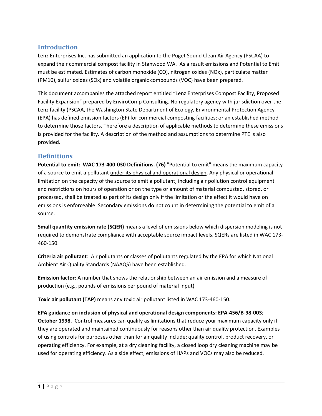## <span id="page-2-0"></span>**Introduction**

Lenz Enterprises Inc. has submitted an application to the Puget Sound Clean Air Agency (PSCAA) to expand their commercial compost facility in Stanwood WA. As a result emissions and Potential to Emit must be estimated. Estimates of carbon monoxide (CO), nitrogen oxides (NOx), particulate matter (PM10), sulfur oxides (SOx) and volatile organic compounds (VOC) have been prepared.

This document accompanies the attached report entitled "Lenz Enterprises Compost Facility, Proposed Facility Expansion" prepared by EnviroComp Consulting. No regulatory agency with jurisdiction over the Lenz facility (PSCAA, the Washington State Department of Ecology, Environmental Protection Agency (EPA) has defined emission factors (EF) for commercial composting facilities; or an established method to determine those factors. Therefore a description of applicable methods to determine these emissions is provided for the facility. A description of the method and assumptions to determine PTE is also provided.

## <span id="page-2-1"></span>**Definitions**

**Potential to emit: WAC 173-400-030 Definitions. (76)** "Potential to emit" means the maximum capacity of a source to emit a pollutant under its physical and operational design. Any physical or operational limitation on the capacity of the source to emit a pollutant, including air pollution control equipment and restrictions on hours of operation or on the type or amount of material combusted, stored, or processed, shall be treated as part of its design only if the limitation or the effect it would have on emissions is enforceable. Secondary emissions do not count in determining the potential to emit of a source.

**Small quantity emission rate (SQER)** means a level of emissions below which dispersion modeling is not required to demonstrate compliance with acceptable source impact levels. SQERs are listed in WAC 173- 460-150.

**Criteria air pollutant**: Air pollutants or classes of pollutants regulated by the EPA for which National Ambient Air Quality Standards (NAAQS) have been established.

**Emission factor**: A number that shows the relationship between an air emission and a measure of production (e.g., pounds of emissions per pound of material input)

**Toxic air pollutant (TAP)** means any toxic air pollutant listed in WAC 173-460-150.

**EPA guidance on inclusion of physical and operational design components: EPA-456/B-98-003; October 1998.** Control measures can qualify as limitations that reduce your maximum capacity only if they are operated and maintained continuously for reasons other than air quality protection. Examples of using controls for purposes other than for air quality include: quality control, product recovery, or operating efficiency. For example, at a dry cleaning facility, a closed loop dry cleaning machine may be used for operating efficiency. As a side effect, emissions of HAPs and VOCs may also be reduced.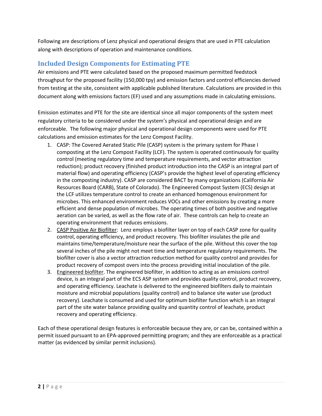Following are descriptions of Lenz physical and operational designs that are used in PTE calculation along with descriptions of operation and maintenance conditions.

# <span id="page-3-0"></span>**Included Design Components for Estimating PTE**

Air emissions and PTE were calculated based on the proposed maximum permitted feedstock throughput for the proposed facility (150,000 tpy) and emission factors and control efficiencies derived from testing at the site, consistent with applicable published literature. Calculations are provided in this document along with emissions factors (EF) used and any assumptions made in calculating emissions.

Emission estimates and PTE for the site are identical since all major components of the system meet regulatory criteria to be considered under the system's physical and operational design and are enforceable. The following major physical and operational design components were used for PTE calculations and emission estimates for the Lenz Compost Facility.

- 1. CASP: The Covered Aerated Static Pile (CASP) system is the primary system for Phase I composting at the Lenz Compost Facility (LCF). The system is operated continuously for quality control (meeting regulatory time and temperature requirements, and vector attraction reduction); product recovery (finished product introduction into the CASP is an integral part of material flow) and operating efficiency (CASP's provide the highest level of operating efficiency in the composting industry). CASP are considered BACT by many organizations (California Air Resources Board (CARB), State of Colorado). The Engineered Compost System (ECS) design at the LCF utilizes temperature control to create an enhanced homogenous environment for microbes. This enhanced environment reduces VOCs and other emissions by creating a more efficient and dense population of microbes. The operating times of both positive and negative aeration can be varied, as well as the flow rate of air. These controls can help to create an operating environment that reduces emissions.
- 2. CASP Positive Air Biofilter: Lenz employs a biofilter layer on top of each CASP zone for quality control, operating efficiency, and product recovery. This biofilter insulates the pile and maintains time/temperature/moisture near the surface of the pile. Without this cover the top several inches of the pile might not meet time and temperature regulatory requirements. The biofilter cover is also a vector attraction reduction method for quality control and provides for product recovery of compost overs into the process providing initial inoculation of the pile.
- 3. Engineered biofilter. The engineered biofilter, in addition to acting as an emissions control device, is an integral part of the ECS ASP system and provides quality control, product recovery, and operating efficiency. Leachate is delivered to the engineered biofilters daily to maintain moisture and microbial populations (quality control) and to balance site water use (product recovery). Leachate is consumed and used for optimum biofilter function which is an integral part of the site water balance providing quality and quantity control of leachate, product recovery and operating efficiency.

<span id="page-3-1"></span>Each of these operational design features is enforceable because they are, or can be, contained within a permit issued pursuant to an EPA-approved permitting program; and they are enforceable as a practical matter (as evidenced by similar permit inclusions).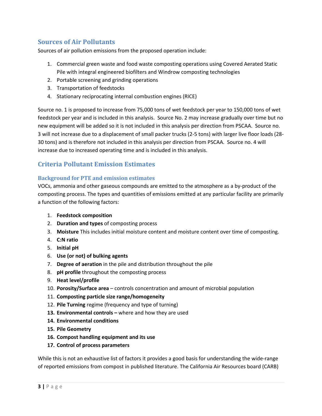# **Sources of Air Pollutants**

Sources of air pollution emissions from the proposed operation include:

- 1. Commercial green waste and food waste composting operations using Covered Aerated Static Pile with integral engineered biofilters and Windrow composting technologies
- 2. Portable screening and grinding operations
- 3. Transportation of feedstocks
- 4. Stationary reciprocating internal combustion engines (RICE)

Source no. 1 is proposed to increase from 75,000 tons of wet feedstock per year to 150,000 tons of wet feedstock per year and is included in this analysis. Source No. 2 may increase gradually over time but no new equipment will be added so it is not included in this analysis per direction from PSCAA. Source no. 3 will not increase due to a displacement of small packer trucks (2-5 tons) with larger live floor loads (28- 30 tons) and is therefore not included in this analysis per direction from PSCAA. Source no. 4 will increase due to increased operating time and is included in this analysis.

## <span id="page-4-0"></span>**Criteria Pollutant Emission Estimates**

#### <span id="page-4-1"></span>**Background for PTE and emission estimates**

VOCs, ammonia and other gaseous compounds are emitted to the atmosphere as a by-product of the composting process. The types and quantities of emissions emitted at any particular facility are primarily a function of the following factors:

- 1. **Feedstock composition**
- 2. **Duration and types** of composting process
- 3. **Moisture** This includes initial moisture content and moisture content over time of composting.
- 4. **C:N ratio**
- 5. **Initial pH**
- 6. **Use (or not) of bulking agents**
- 7. **Degree of aeration** in the pile and distribution throughout the pile
- 8. **pH profile** throughout the composting process
- 9. **Heat level/profile**
- 10. **Porosity/Surface area** controls concentration and amount of microbial population
- 11. **Composting particle size range/homogeneity**
- 12. **Pile Turning** regime (frequency and type of turning)
- **13. Environmental controls –** where and how they are used
- **14. Environmental conditions**
- **15. Pile Geometry**
- **16. Compost handling equipment and its use**
- **17. Control of process parameters**

While this is not an exhaustive list of factors it provides a good basis for understanding the wide-range of reported emissions from compost in published literature. The California Air Resources board (CARB)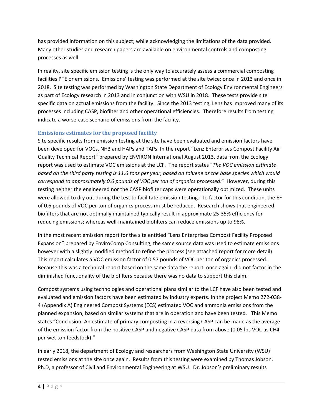has provided information on this subject; while acknowledging the limitations of the data provided. Many other studies and research papers are available on environmental controls and composting processes as well.

In reality, site specific emission testing is the only way to accurately assess a commercial composting facilities PTE or emissions. Emissions' testing was performed at the site twice; once in 2013 and once in 2018. Site testing was performed by Washington State Department of Ecology Environmental Engineers as part of Ecology research in 2013 and in conjunction with WSU in 2018. These tests provide site specific data on actual emissions from the facility. Since the 2013 testing, Lenz has improved many of its processes including CASP, biofilter and other operational efficiencies. Therefore results from testing indicate a worse-case scenario of emissions from the facility.

#### <span id="page-5-0"></span>**Emissions estimates for the proposed facility**

Site specific results from emission testing at the site have been evaluated and emission factors have been developed for VOCs, NH3 and HAPs and TAPs. In the report "Lenz Enterprises Compost Facility Air Quality Technical Report" prepared by ENVIRON International August 2013, data from the Ecology report was used to estimate VOC emissions at the LCF. The report states "*The VOC emission estimate based on the third party testing is 11.6 tons per year, based on toluene as the base species which would correspond to approximately 0.6 pounds of VOC per ton of organics processed*." However, during this testing neither the engineered nor the CASP biofilter caps were operationally optimized. These units were allowed to dry out during the test to facilitate emission testing. To factor for this condition, the EF of 0.6 pounds of VOC per ton of organics process must be reduced. Research shows that engineered biofilters that are not optimally maintained typically result in approximate 25-35% efficiency for reducing emissions; whereas well-maintained biofilters can reduce emissions up to 98%.

In the most recent emission report for the site entitled "Lenz Enterprises Compost Facility Proposed Expansion" prepared by EnviroComp Consulting, the same source data was used to estimate emissions however with a slightly modified method to refine the process (see attached report for more detail). This report calculates a VOC emission factor of 0.57 pounds of VOC per ton of organics processed. Because this was a technical report based on the same data the report, once again, did not factor in the diminished functionality of the biofilters because there was no data to support this claim.

Compost systems using technologies and operational plans similar to the LCF have also been tested and evaluated and emission factors have been estimated by industry experts. In the project Memo 272-038- 4 (Appendix A) Engineered Compost Systems (ECS) estimated VOC and ammonia emissions from the planned expansion, based on similar systems that are in operation and have been tested. This Memo states "Conclusion: An estimate of primary composting in a reversing CASP can be made as the average of the emission factor from the positive CASP and negative CASP data from above (0.05 lbs VOC as CH4 per wet ton feedstock)."

In early 2018, the department of Ecology and researchers from Washington State University (WSU) tested emissions at the site once again. Results from this testing were examined by Thomas Jobson, Ph.D, a professor of Civil and Environmental Engineering at WSU. Dr. Jobson's preliminary results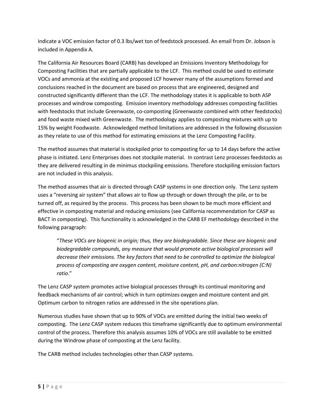indicate a VOC emission factor of 0.3 lbs/wet ton of feedstock processed. An email from Dr. Jobson is included in Appendix A.

The California Air Resources Board (CARB) has developed an Emissions Inventory Methodology for Composting Facilities that are partially applicable to the LCF. This method could be used to estimate VOCs and ammonia at the existing and proposed LCF however many of the assumptions formed and conclusions reached in the document are based on process that are engineered, designed and constructed significantly different than the LCF. The methodology states it is applicable to both ASP processes and windrow composting. Emission inventory methodology addresses composting facilities with feedstocks that include Greenwaste, co-composting (Greenwaste combined with other feedstocks) and food waste mixed with Greenwaste. The methodology applies to composting mixtures with up to 15% by weight Foodwaste. Acknowledged method limitations are addressed in the following discussion as they relate to use of this method for estimating emissions at the Lenz Composting Facility.

The method assumes that material is stockpiled prior to composting for up to 14 days before the active phase is initiated. Lenz Enterprises does not stockpile material. In contrast Lenz processes feedstocks as they are delivered resulting in de minimus stockpiling emissions. Therefore stockpiling emission factors are not included in this analysis.

The method assumes that air is directed through CASP systems in one direction only. The Lenz system uses a "reversing air system" that allows air to flow up through or down through the pile, or to be turned off, as required by the process. This process has been shown to be much more efficient and effective in composting material and reducing emissions (see California recommendation for CASP as BACT in composting). This functionality is acknowledged in the CARB EF methodology described in the following paragraph:

"*These VOCs are biogenic in origin; thus, they are biodegradable. Since these are biogenic and biodegradable compounds, any measure that would promote active biological processes will decrease their emissions. The key factors that need to be controlled to optimize the biological process of composting are oxygen content, moisture content, pH, and carbon:nitrogen (C:N) ratio*."

The Lenz CASP system promotes active biological processes through its continual monitoring and feedback mechanisms of air control; which in turn optimizes oxygen and moisture content and pH. Optimum carbon to nitrogen ratios are addressed in the site operations plan.

Numerous studies have shown that up to 90% of VOCs are emitted during the initial two weeks of composting. The Lenz CASP system reduces this timeframe significantly due to optimum environmental control of the process. Therefore this analysis assumes 10% of VOCs are still available to be emitted during the Windrow phase of composting at the Lenz facility.

The CARB method includes technologies other than CASP systems.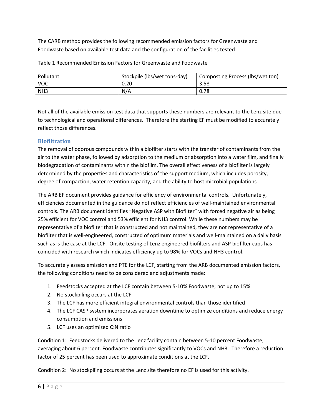The CARB method provides the following recommended emission factors for Greenwaste and Foodwaste based on available test data and the configuration of the facilities tested:

| Pollutant       | Stockpile (lbs/wet tons-day) | Composting Process (lbs/wet ton) |
|-----------------|------------------------------|----------------------------------|
| <b>VOC</b>      | 0.20                         | 3.58                             |
| NH <sub>3</sub> | N/A                          | 0.78                             |

Table 1 Recommended Emission Factors for Greenwaste and Foodwaste

Not all of the available emission test data that supports these numbers are relevant to the Lenz site due to technological and operational differences. Therefore the starting EF must be modified to accurately reflect those differences.

## <span id="page-7-0"></span>**Biofiltration**

The removal of odorous compounds within a biofilter starts with the transfer of contaminants from the air to the water phase, followed by adsorption to the medium or absorption into a water film, and finally biodegradation of contaminants within the biofilm. The overall effectiveness of a biofilter is largely determined by the properties and characteristics of the support medium, which includes porosity, degree of compaction, water retention capacity, and the ability to host microbial populations

The ARB EF document provides guidance for efficiency of environmental controls. Unfortunately, efficiencies documented in the guidance do not reflect efficiencies of well-maintained environmental controls. The ARB document identifies "Negative ASP with Biofilter" with forced negative air as being 25% efficient for VOC control and 53% efficient for NH3 control. While these numbers may be representative of a biofilter that is constructed and not maintained, they are not representative of a biofilter that is well-engineered, constructed of optimum materials and well-maintained on a daily basis such as is the case at the LCF. Onsite testing of Lenz engineered biofilters and ASP biofilter caps has coincided with research which indicates efficiency up to 98% for VOCs and NH3 control.

To accurately assess emission and PTE for the LCF, starting from the ARB documented emission factors, the following conditions need to be considered and adjustments made:

- 1. Feedstocks accepted at the LCF contain between 5-10% Foodwaste; not up to 15%
- 2. No stockpiling occurs at the LCF
- 3. The LCF has more efficient integral environmental controls than those identified
- 4. The LCF CASP system incorporates aeration downtime to optimize conditions and reduce energy consumption and emissions
- 5. LCF uses an optimized C:N ratio

Condition 1: Feedstocks delivered to the Lenz facility contain between 5-10 percent Foodwaste, averaging about 6 percent. Foodwaste contributes significantly to VOCs and NH3. Therefore a reduction factor of 25 percent has been used to approximate conditions at the LCF.

Condition 2: No stockpiling occurs at the Lenz site therefore no EF is used for this activity.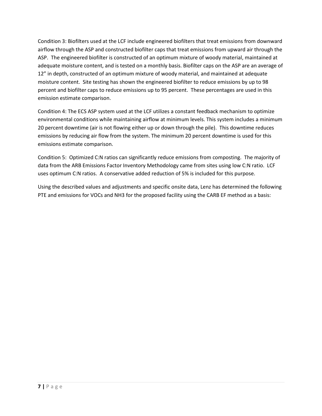Condition 3: Biofilters used at the LCF include engineered biofilters that treat emissions from downward airflow through the ASP and constructed biofilter caps that treat emissions from upward air through the ASP. The engineered biofilter is constructed of an optimum mixture of woody material, maintained at adequate moisture content, and is tested on a monthly basis. Biofilter caps on the ASP are an average of 12" in depth, constructed of an optimum mixture of woody material, and maintained at adequate moisture content. Site testing has shown the engineered biofilter to reduce emissions by up to 98 percent and biofilter caps to reduce emissions up to 95 percent. These percentages are used in this emission estimate comparison.

Condition 4: The ECS ASP system used at the LCF utilizes a constant feedback mechanism to optimize environmental conditions while maintaining airflow at minimum levels. This system includes a minimum 20 percent downtime (air is not flowing either up or down through the pile). This downtime reduces emissions by reducing air flow from the system. The minimum 20 percent downtime is used for this emissions estimate comparison.

Condition 5: Optimized C:N ratios can significantly reduce emissions from composting. The majority of data from the ARB Emissions Factor Inventory Methodology came from sites using low C:N ratio. LCF uses optimum C:N ratios. A conservative added reduction of 5% is included for this purpose.

Using the described values and adjustments and specific onsite data, Lenz has determined the following PTE and emissions for VOCs and NH3 for the proposed facility using the CARB EF method as a basis: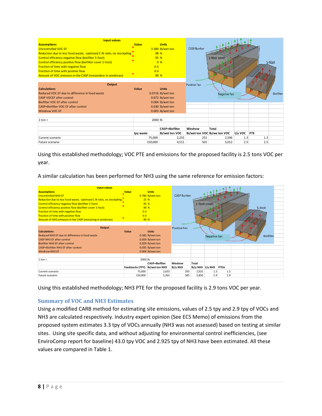| <b>Input values</b>                                                  |              |                       |                    |                              |         |     |           |
|----------------------------------------------------------------------|--------------|-----------------------|--------------------|------------------------------|---------|-----|-----------|
| <b>Assumptions</b>                                                   | <b>Value</b> | <b>Units</b>          |                    |                              |         |     |           |
| <b>Uncontrolled VOC EF</b>                                           |              | 3.580 lb/wet ton      | <b>CASP Bunker</b> |                              |         |     |           |
| Reduction due to less food waste, optimzed C:N ratio, no stockpiling |              | 98 %                  |                    |                              |         |     |           |
| Control efficiency negative flow (biofilter 5-foot)                  | 95 %         |                       |                    | 1-foot cover                 |         |     |           |
| Control efficiency positive flow (biofilter cover 1-foot)            |              | 0%                    |                    |                              |         |     | 5-foot    |
| Fraction of time with negative flow                                  | 0.4          |                       |                    |                              |         |     |           |
| Fraction of time with positive flow                                  | 0.4          |                       |                    |                              |         |     |           |
| Amount of VOC emission in the CASP (remaindcer in windrows)          | 90 %         |                       |                    |                              |         |     |           |
|                                                                      |              |                       |                    |                              |         |     |           |
| Output                                                               |              |                       | Positive Fan       |                              |         |     |           |
| <b>Calculations</b>                                                  | Value        | <b>Units</b>          |                    |                              |         |     |           |
| Reduced VOC EE due to difference in food waste                       |              | 0.0716 lb/wet ton     |                    | <b>Negative Fan</b>          |         |     | Biofilter |
| <b>CASP VOCEF after control</b>                                      |              | 0.072 lb/wet ton      |                    |                              |         |     |           |
| <b>Biofilter VOC EF after control</b>                                |              | 0.004 lb/wet ton      |                    |                              |         |     |           |
| CASP+Biofilter VOC EF after control                                  |              | 0.030 lb/wet ton      |                    |                              |         |     |           |
| <b>Windrow VOC EF</b>                                                |              | 0.003 lb/wet ton      |                    |                              |         |     |           |
|                                                                      |              |                       |                    |                              |         |     |           |
| $1 \text{ ton} =$                                                    | 2000 lb      |                       |                    |                              |         |     |           |
|                                                                      |              |                       |                    |                              |         |     |           |
|                                                                      |              | <b>CASP+Biofilter</b> | Windrow            | Total                        |         |     |           |
|                                                                      | tpy waste    | lb/wet ton VOC        |                    | lb/wet ton VOC lb/we ton VOC | t/y VOC | PTE |           |
| Current scenario                                                     | 75,000       | 2,255                 | 251                | 2,506                        | 1.3     | 1.3 |           |
| Future scenario                                                      | 150,000      | 4,511                 | 501                | 5,012                        | 2.5     | 2.5 |           |

Using this established methodology; VOC PTE and emissions for the proposed facility is 2.5 tons VOC per year.

A similar calculation has been performed for NH3 using the same reference for emission factors:



Using this established methodology; NH3 PTE for the proposed facility is 2.9 tons VOC per year.

#### <span id="page-9-0"></span>**Summary of VOC and NH3 Estimates**

Using a modified CARB method for estimating site emissions, values of 2.5 tpy and 2.9 tpy of VOCs and NH3 are calculated respectively. Industry expert opinion (See ECS Memo) of emissions from the proposed system estimates 3.3 tpy of VOCs annually (NH3 was not assessed) based on testing at similar sites. Using site specific data, and without adjusting for environmental control inefficiencies, (see EnviroComp report for baseline) 43.0 tpy VOC and 2.925 tpy of NH3 have been estimated. All these values are compared in Table 1.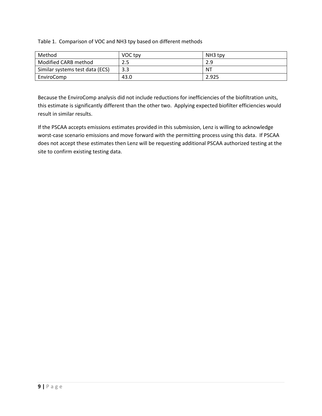Table 1. Comparison of VOC and NH3 tpy based on different methods

| Method                          | VOC tpy | NH <sub>3</sub> tpy |
|---------------------------------|---------|---------------------|
| Modified CARB method            | 2.5     | 2.9                 |
| Similar systems test data (ECS) | 3.3     | NT                  |
| EnviroComp                      | 43.0    | 2.925               |

Because the EnviroComp analysis did not include reductions for inefficiencies of the biofiltration units, this estimate is significantly different than the other two. Applying expected biofilter efficiencies would result in similar results.

If the PSCAA accepts emissions estimates provided in this submission, Lenz is willing to acknowledge worst-case scenario emissions and move forward with the permitting process using this data. If PSCAA does not accept these estimates then Lenz will be requesting additional PSCAA authorized testing at the site to confirm existing testing data.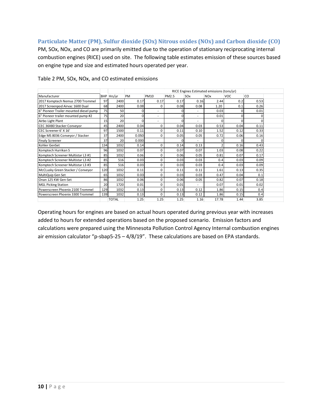#### <span id="page-11-0"></span>**Particulate Matter (PM), Sulfur dioxide (SOx) Nitrous oxides (NOx) and Carbon dioxide (CO)**

PM, SOx, NOx, and CO are primarily emitted due to the operation of stationary reciprocating internal combustion engines (RICE) used on site. The following table estimates emission of these sources based on engine type and size and estimated hours operated per year.

|                                        |     |              | RICE Engines Estimated emissions (tons/yr) |                          |          |                          |                       |              |      |  |
|----------------------------------------|-----|--------------|--------------------------------------------|--------------------------|----------|--------------------------|-----------------------|--------------|------|--|
| Manufacturer                           |     | BHP Hrs/yr   | PM                                         | PM10                     | PM2.5    | SO <sub>x</sub>          | <b>NO<sub>x</sub></b> | VOC.         | CO   |  |
| 2017 Komptech Nemus 2700 Trommel       | 97  | 2400         | 0.17                                       | 0.17                     | 0.17     | 0.16                     | 2.44                  | 0.2          | 0.53 |  |
| 2017 Screenpod Airvac 1600 Dual        | 68  | 2400         | 0.08                                       | $\Omega$                 | 0.08     | 0.08                     | 1.20                  | 0.1          | 0.26 |  |
| 6" Pioneer Trailer mounted diesel pump | 75  | 50           |                                            | $\overline{\phantom{0}}$ | $\Omega$ |                          | 0.03                  | $\Omega$     | 0.01 |  |
| 6" Pioneer trailer mounted pump #2     | 75  | 20           | 0                                          | $\overline{a}$           | $\Omega$ | ۰                        | 0.01                  | $\Omega$     |      |  |
| Airbo Light Plant                      | 15  | 20           |                                            | $\overline{\phantom{a}}$ | $\Omega$ |                          |                       |              |      |  |
| CEC 36X80 Stacker Conveyor             | 45  | 2400         | 0.04                                       | $\Omega$                 | 0.04     | 0.03                     | 0.53                  | 0.04         | 0.11 |  |
| CEC Screener 6' X 16'                  | 97  | 1500         | 0.11                                       | 0                        | 0.11     | 0.10                     | 1.52                  | 0.12         | 0.33 |  |
| Edge MS 8036 Conveyor / Stacker        | 37  | 2400         | 0.050                                      | $\Omega$                 | 0.05     | 0.05                     | 0.72                  | 0.06         | 0.16 |  |
| <b>Finaly Screener</b>                 | 37  | 20           | 0.000                                      | $\overline{\phantom{a}}$ | U        | $\overline{\phantom{0}}$ | C                     | <sup>0</sup> |      |  |
| Kohler GenSet                          | 134 | 1032         | 0.14                                       | $\Omega$                 | 0.14     | 0.13                     |                       | 0.16         | 0.43 |  |
| Komptech Hurrikan S                    | 96  | 1032         | 0.07                                       | $\Omega$                 | 0.07     | 0.07                     | 1.03                  | 0.08         | 0.22 |  |
| Komptech Screener Multistar L3 #1      | 85  | 1032         | 0.06                                       | $\Omega$                 | 0.06     | 0.05                     | 0.81                  | 0.07         | 0.17 |  |
| Komptech Screener Multistar L3 #2      | 85  | 516          | 0.03                                       | $\Omega$                 | 0.03     | 0.03                     | 0.4                   | 0.03         | 0.09 |  |
| Komptech Screener Multistar L3 #3      | 85  | 516          | 0.03                                       | $\Omega$                 | 0.03     | 0.03                     | 0.4                   | 0.03         | 0.09 |  |
| McCLusky Green Stacker / Conveyor      | 120 | 1032         | 0.11                                       | 0                        | 0.11     | 0.11                     | 1.61                  | 0.13         | 0.35 |  |
| MultiQuip Gen Set                      | 65  | 1032         | 0.03                                       | $\Omega$                 | 0.03     | 0.03                     | 0.47                  | 0.04         | 0.1  |  |
| Onan 125 KW Gen-Set                    | 86  | 1032         | 0.06                                       | $\Omega$                 | 0.06     | 0.05                     | 0.82                  | 0.07         | 0.18 |  |
| <b>MGL Picking Station</b>             | 20  | 1720         | 0.01                                       | $\Omega$                 | 0.01     |                          | 0.07                  | 0.01         | 0.02 |  |
| Powerscreen Phoenix 2100 Trommel       | 129 | 1032         | 0.13                                       | 0                        | 0.13     | 0.12                     | 1.86                  | 0.15         | 0.4  |  |
| Powerscreen Phoenix 3300 Trommel       | 139 | 1032         | 0.13                                       | $\Omega$                 | 0.13     | 0.12                     | 1.86                  | 0.15         | 0.4  |  |
|                                        |     | <b>TOTAL</b> | 1.25                                       | 1.25                     | 1.25     | 1.16                     | 17.78                 | 1.44         | 3.85 |  |

Table 2 PM, SOx, NOx, and CO estimated emissions

<span id="page-11-1"></span>Operating hours for engines are based on actual hours operated during previous year with increases added to hours for extended operations based on the proposed scenario. Emission factors and calculations were prepared using the Minnesota Pollution Control Agency Internal combustion engines air emission calculator "p-sbap5-25 – 4/8/19". These calculations are based on EPA standards.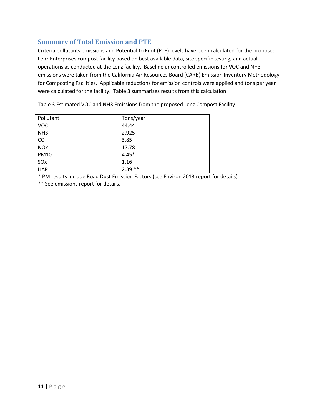# **Summary of Total Emission and PTE**

Criteria pollutants emissions and Potential to Emit (PTE) levels have been calculated for the proposed Lenz Enterprises compost facility based on best available data, site specific testing, and actual operations as conducted at the Lenz facility. Baseline uncontrolled emissions for VOC and NH3 emissions were taken from the California Air Resources Board (CARB) Emission Inventory Methodology for Composting Facilities. Applicable reductions for emission controls were applied and tons per year were calculated for the facility. Table 3 summarizes results from this calculation.

Table 3 Estimated VOC and NH3 Emissions from the proposed Lenz Compost Facility

| Pollutant             | Tons/year |
|-----------------------|-----------|
| <b>VOC</b>            | 44.44     |
| NH <sub>3</sub>       | 2.925     |
| CO                    | 3.85      |
| <b>NO<sub>x</sub></b> | 17.78     |
| <b>PM10</b>           | $4.45*$   |
| SOx                   | 1.16      |
| <b>HAP</b>            | $2.39**$  |

\* PM results include Road Dust Emission Factors (see Environ 2013 report for details)

\*\* See emissions report for details.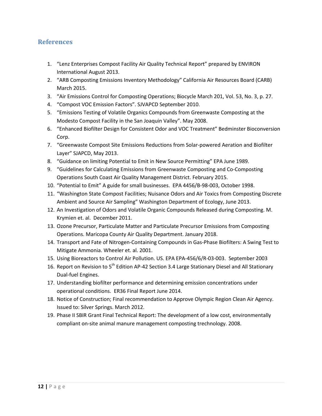#### <span id="page-13-0"></span>**References**

- 1. "Lenz Enterprises Compost Facility Air Quality Technical Report" prepared by ENVIRON International August 2013.
- 2. "ARB Composting Emissions Inventory Methodology" California Air Resources Board (CARB) March 2015.
- 3. "Air Emissions Control for Composting Operations; Biocycle March 201, Vol. 53, No. 3, p. 27.
- 4. "Compost VOC Emission Factors". SJVAPCD September 2010.
- 5. "Emissions Testing of Volatile Organics Compounds from Greenwaste Composting at the Modesto Compost Facility in the San Joaquin Valley". May 2008.
- 6. "Enhanced Biofilter Design for Consistent Odor and VOC Treatment" Bedminster Bioconversion Corp.
- 7. "Greenwaste Compost Site Emissions Reductions from Solar-powered Aeration and Biofilter Layer" SJAPCD, May 2013.
- 8. "Guidance on limiting Potential to Emit in New Source Permitting" EPA June 1989.
- 9. "Guidelines for Calculating Emissions from Greenwaste Composting and Co-Composting Operations South Coast Air Quality Management District. February 2015.
- 10. "Potential to Emit" A guide for small businesses. EPA 4456/B-98-003, October 1998.
- 11. "Washington State Compost Facilities; Nuisance Odors and Air Toxics from Composting Discrete Ambient and Source Air Sampling" Washington Department of Ecology, June 2013.
- 12. An Investigation of Odors and Volatile Organic Compounds Released during Composting. M. Krymien et. al. December 2011.
- 13. Ozone Precursor, Particulate Matter and Particulate Precursor Emissions from Composting Operations. Maricopa County Air Quality Department. January 2018.
- 14. Transport and Fate of Nitrogen-Containing Compounds in Gas-Phase Biofilters: A Swing Test to Mitigate Ammonia. Wheeler et. al. 2001.
- 15. Using Bioreactors to Control Air Pollution. US. EPA EPA-456/6/R-03-003. September 2003
- 16. Report on Revision to 5<sup>th</sup> Edition AP-42 Section 3.4 Large Stationary Diesel and All Stationary Dual-fuel Engines.
- 17. Understanding biofilter performance and determining emission concentrations under operational conditions. ER36 Final Report June 2014.
- 18. Notice of Construction; Final recommendation to Approve Olympic Region Clean Air Agency. Issued to: Silver Springs. March 2012.
- 19. Phase II SBIR Grant Final Technical Report: The development of a low cost, environmentally compliant on-site animal manure management composting trechnology. 2008.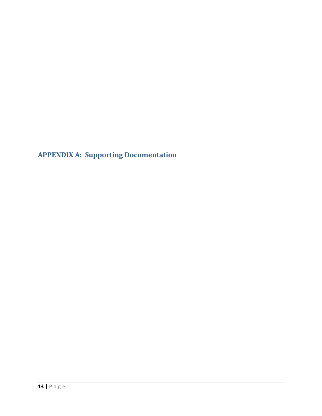<span id="page-14-0"></span>**APPENDIX A: Supporting Documentation**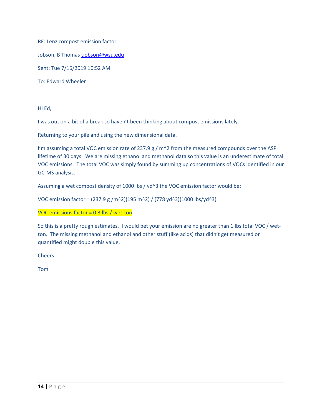RE: Lenz compost emission factor

Jobson, B Thoma[s tjobson@wsu.edu](mailto:tjobson@wsu.edu)

Sent: Tue 7/16/2019 10:52 AM

To: Edward Wheeler

Hi Ed,

I was out on a bit of a break so haven't been thinking about compost emissions lately.

Returning to your pile and using the new dimensional data.

I'm assuming a total VOC emission rate of 237.9 g /  $m^2$  from the measured compounds over the ASP lifetime of 30 days. We are missing ethanol and methanol data so this value is an underestimate of total VOC emissions. The total VOC was simply found by summing up concentrations of VOCs identified in our GC-MS analysis.

Assuming a wet compost density of 1000 lbs / yd^3 the VOC emission factor would be:

VOC emission factor = (237.9 g /m^2)(195 m^2) / (778 yd^3)(1000 lbs/yd^3)

VOC emissions factor = 0.3 lbs / wet-ton

So this is a pretty rough estimates. I would bet your emission are no greater than 1 lbs total VOC / wetton. The missing methanol and ethanol and other stuff (like acids) that didn't get measured or quantified might double this value.

**Cheers** 

Tom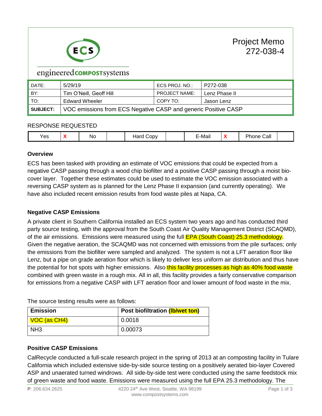

# engineered **COMPOST** systems

| DATE:           | 5/29/19                                                        | ECS PROJ. NO.:       | P272-038      |  |  |  |
|-----------------|----------------------------------------------------------------|----------------------|---------------|--|--|--|
| BY:             | Tim O'Neill, Geoff Hill                                        | <b>PROJECT NAME:</b> | Lenz Phase II |  |  |  |
| $\vert$ TO:     | <b>Edward Wheeler</b>                                          | COPY TO:             | Jason Lenz    |  |  |  |
| <b>SUBJECT:</b> | VOC emissions from ECS Negative CASP and generic Positive CASP |                      |               |  |  |  |

#### RESPONSE REQUESTED

| .<br>∵-Maii<br><b>No</b><br>Call<br>'es<br><b>NO.</b><br>ODV ت<br>ле<br>-<br>. . |  |
|----------------------------------------------------------------------------------|--|
|----------------------------------------------------------------------------------|--|

#### **Overview**

ECS has been tasked with providing an estimate of VOC emissions that could be expected from a negative CASP passing through a wood chip biofilter and a positive CASP passing through a moist biocover layer. Together these estimates could be used to estimate the VOC emission associated with a reversing CASP system as is planned for the Lenz Phase II expansion (and currently operating). We have also included recent emission results from food waste piles at Napa, CA.

#### **Negative CASP Emissions**

A private client in Southern California installed an ECS system two years ago and has conducted third party source testing, with the approval from the South Coast Air Quality Management District (SCAQMD), of the air emissions. Emissions were measured using the full **EPA (South Coast) 25.3 methodology.** Given the negative aeration, the SCAQMD was not concerned with emissions from the pile surfaces; only the emissions from the biofilter were sampled and analyzed. The system is not a LFT aeration floor like Lenz, but a pipe on grade aeration floor which is likely to deliver less uniform air distribution and thus have the potential for hot spots with higher emissions. Also this facility processes as high as 40% food waste combined with green waste in a rough mix. All in all, this facility provides a fairly conservative comparison for emissions from a negative CASP with LFT aeration floor and lower amount of food waste in the mix.

The source testing results were as follows:

| <b>Emission</b> | Post biofiltration (Ib/wet ton) |
|-----------------|---------------------------------|
| VOC (as CH4)    | 0.0018                          |
| NH <sub>3</sub> | 0.00073                         |

#### **Positive CASP Emissions**

CalRecycle conducted a full-scale research project in the spring of 2013 at an composting facility in Tulare California which included extensive side-by-side source testing on a positively aerated bio-layer Covered ASP and unaerated turned windrows. All side-by-side test were conducted using the same feedstock mix of green waste and food waste. Emissions were measured using the full EPA 25.3 methodology. The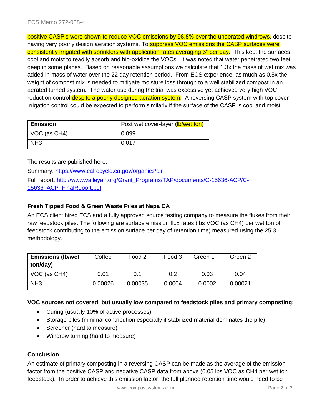positive CASP's were shown to reduce VOC emissions by 98.8% over the unaerated windrows, despite having very poorly design aeration systems. To **suppress VOC emissions the CASP surfaces were** consistently irrigated with sprinklers with application rates averaging 3" per day. This kept the surfaces cool and moist to readily absorb and bio-oxidize the VOCs. It was noted that water penetrated two feet deep in some places. Based on reasonable assumptions we calculate that 1.3x the mass of wet mix was added in mass of water over the 22 day retention period. From ECS experience, as much as 0.5x the weight of compost mix is needed to mitigate moisture loss through to a well stabilized compost in an aerated turned system. The water use during the trial was excessive yet achieved very high VOC reduction control despite a poorly designed aeration system. A reversing CASP system with top cover irrigation control could be expected to perform similarly if the surface of the CASP is cool and moist.

| <b>Emission</b> | Post wet cover-layer (lb/wet ton) |
|-----------------|-----------------------------------|
| VOC (as CH4)    | 0.099                             |
| NH <sub>3</sub> | 0.017                             |

The results are published here:

Summary:<https://www.calrecycle.ca.gov/organics/air> Full report: [http://www.valleyair.org/Grant\\_Programs/TAP/documents/C-15636-ACP/C-](http://www.valleyair.org/Grant_Programs/TAP/documents/C-15636-ACP/C-15636_ACP_FinalReport.pdf)

[15636\\_ACP\\_FinalReport.pdf](http://www.valleyair.org/Grant_Programs/TAP/documents/C-15636-ACP/C-15636_ACP_FinalReport.pdf)

#### **Fresh Tipped Food & Green Waste Piles at Napa CA**

An ECS client hired ECS and a fully approved source testing company to measure the fluxes from their raw feedstock piles. The following are surface emission flux rates (lbs VOC (as CH4) per wet ton of feedstock contributing to the emission surface per day of retention time) measured using the 25.3 methodology.

| <b>Emissions (Ib/wet</b><br>ton/day) | Coffee  | Food 2  | Food 3 | Green 1 | Green 2 |
|--------------------------------------|---------|---------|--------|---------|---------|
| VOC (as CH4)                         | 0.01    | 0.1     | 0.2    | 0.03    | 0.04    |
| NH <sub>3</sub>                      | 0.00026 | 0.00035 | 0.0004 | 0.0002  | 0.00021 |

#### **VOC sources not covered, but usually low compared to feedstock piles and primary composting:**

- Curing (usually 10% of active processes)
- Storage piles (minimal contribution especially if stabilized material dominates the pile)
- Screener (hard to measure)
- Windrow turning (hard to measure)

#### **Conclusion**

An estimate of primary composting in a reversing CASP can be made as the average of the emission factor from the positive CASP and negative CASP data from above (0.05 lbs VOC as CH4 per wet ton feedstock). In order to achieve this emission factor, the full planned retention time would need to be